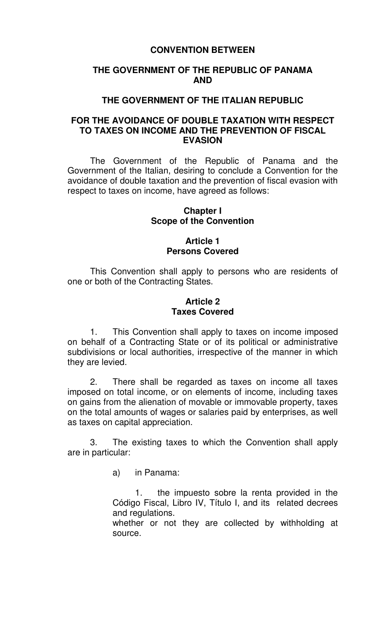#### **CONVENTION BETWEEN**

## **THE GOVERNMENT OF THE REPUBLIC OF PANAMA AND**

## **THE GOVERNMENT OF THE ITALIAN REPUBLIC**

#### **FOR THE AVOIDANCE OF DOUBLE TAXATION WITH RESPECT TO TAXES ON INCOME AND THE PREVENTION OF FISCAL EVASION**

The Government of the Republic of Panama and the Government of the Italian, desiring to conclude a Convention for the avoidance of double taxation and the prevention of fiscal evasion with respect to taxes on income, have agreed as follows:

#### **Chapter I Scope of the Convention**

## **Article 1 Persons Covered**

This Convention shall apply to persons who are residents of one or both of the Contracting States.

### **Article 2 Taxes Covered**

1. This Convention shall apply to taxes on income imposed on behalf of a Contracting State or of its political or administrative subdivisions or local authorities, irrespective of the manner in which they are levied.

2. There shall be regarded as taxes on income all taxes imposed on total income, or on elements of income, including taxes on gains from the alienation of movable or immovable property, taxes on the total amounts of wages or salaries paid by enterprises, as well as taxes on capital appreciation.

3. The existing taxes to which the Convention shall apply are in particular:

a) in Panama:

1. the impuesto sobre la renta provided in the Código Fiscal, Libro IV, Título I, and its related decrees and regulations.

whether or not they are collected by withholding at source.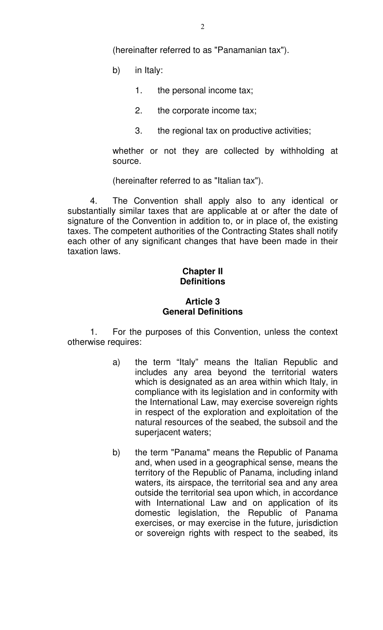(hereinafter referred to as "Panamanian tax").

- b) in Italy:
	- 1. the personal income tax;
	- 2. the corporate income tax;
	- 3. the regional tax on productive activities;

whether or not they are collected by withholding at source.

(hereinafter referred to as "Italian tax").

4. The Convention shall apply also to any identical or substantially similar taxes that are applicable at or after the date of signature of the Convention in addition to, or in place of, the existing taxes. The competent authorities of the Contracting States shall notify each other of any significant changes that have been made in their taxation laws.

## **Chapter II Definitions**

### **Article 3 General Definitions**

1. For the purposes of this Convention, unless the context otherwise requires:

- a) the term "Italy" means the Italian Republic and includes any area beyond the territorial waters which is designated as an area within which Italy, in compliance with its legislation and in conformity with the International Law, may exercise sovereign rights in respect of the exploration and exploitation of the natural resources of the seabed, the subsoil and the superjacent waters;
- b) the term "Panama" means the Republic of Panama and, when used in a geographical sense, means the territory of the Republic of Panama, including inland waters, its airspace, the territorial sea and any area outside the territorial sea upon which, in accordance with International Law and on application of its domestic legislation, the Republic of Panama exercises, or may exercise in the future, jurisdiction or sovereign rights with respect to the seabed, its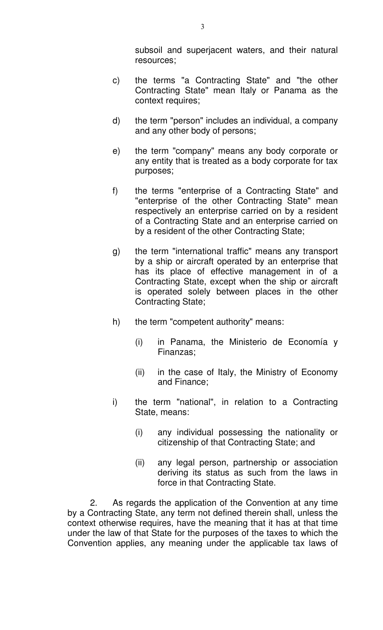subsoil and superjacent waters, and their natural resources;

- c) the terms "a Contracting State" and "the other Contracting State" mean Italy or Panama as the context requires;
- d) the term "person" includes an individual, a company and any other body of persons;
- e) the term "company" means any body corporate or any entity that is treated as a body corporate for tax purposes;
- f) the terms "enterprise of a Contracting State" and "enterprise of the other Contracting State" mean respectively an enterprise carried on by a resident of a Contracting State and an enterprise carried on by a resident of the other Contracting State;
- g) the term "international traffic" means any transport by a ship or aircraft operated by an enterprise that has its place of effective management in of a Contracting State, except when the ship or aircraft is operated solely between places in the other Contracting State;
- h) the term "competent authority" means:
	- (i) in Panama, the Ministerio de Economía y Finanzas;
	- (ii) in the case of Italy, the Ministry of Economy and Finance;
- i) the term "national", in relation to a Contracting State, means:
	- (i) any individual possessing the nationality or citizenship of that Contracting State; and
	- (ii) any legal person, partnership or association deriving its status as such from the laws in force in that Contracting State.

2. As regards the application of the Convention at any time by a Contracting State, any term not defined therein shall, unless the context otherwise requires, have the meaning that it has at that time under the law of that State for the purposes of the taxes to which the Convention applies, any meaning under the applicable tax laws of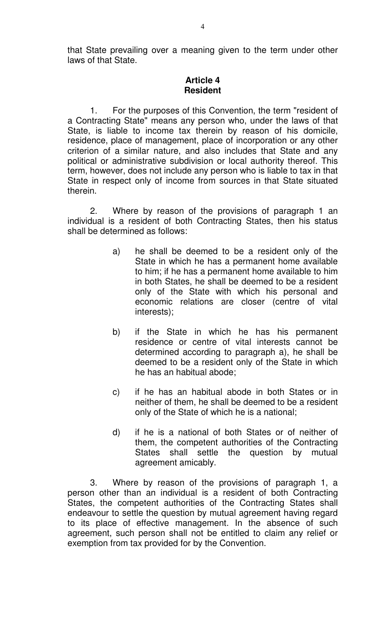that State prevailing over a meaning given to the term under other laws of that State.

## **Article 4 Resident**

1. For the purposes of this Convention, the term "resident of a Contracting State" means any person who, under the laws of that State, is liable to income tax therein by reason of his domicile, residence, place of management, place of incorporation or any other criterion of a similar nature, and also includes that State and any political or administrative subdivision or local authority thereof. This term, however, does not include any person who is liable to tax in that State in respect only of income from sources in that State situated therein.

2. Where by reason of the provisions of paragraph 1 an individual is a resident of both Contracting States, then his status shall be determined as follows:

- a) he shall be deemed to be a resident only of the State in which he has a permanent home available to him; if he has a permanent home available to him in both States, he shall be deemed to be a resident only of the State with which his personal and economic relations are closer (centre of vital interests);
- b) if the State in which he has his permanent residence or centre of vital interests cannot be determined according to paragraph a), he shall be deemed to be a resident only of the State in which he has an habitual abode;
- c) if he has an habitual abode in both States or in neither of them, he shall be deemed to be a resident only of the State of which he is a national;
- d) if he is a national of both States or of neither of them, the competent authorities of the Contracting States shall settle the question by mutual agreement amicably.

3. Where by reason of the provisions of paragraph 1, a person other than an individual is a resident of both Contracting States, the competent authorities of the Contracting States shall endeavour to settle the question by mutual agreement having regard to its place of effective management. In the absence of such agreement, such person shall not be entitled to claim any relief or exemption from tax provided for by the Convention.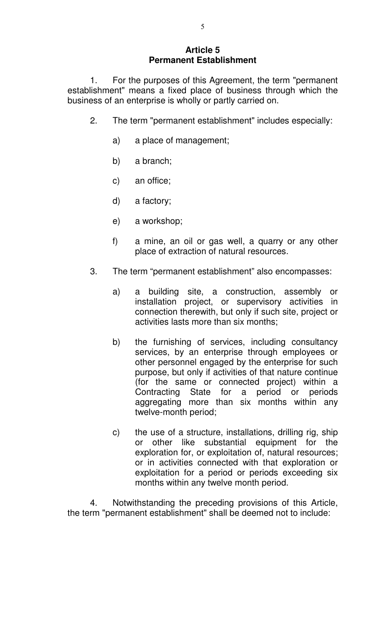## **Article 5 Permanent Establishment**

1. For the purposes of this Agreement, the term "permanent establishment" means a fixed place of business through which the business of an enterprise is wholly or partly carried on.

- 2. The term "permanent establishment" includes especially:
	- a) a place of management;
	- b) a branch;
	- c) an office;
	- d) a factory;
	- e) a workshop;
	- f) a mine, an oil or gas well, a quarry or any other place of extraction of natural resources.
- 3. The term "permanent establishment" also encompasses:
	- a) a building site, a construction, assembly or installation project, or supervisory activities in connection therewith, but only if such site, project or activities lasts more than six months;
	- b) the furnishing of services, including consultancy services, by an enterprise through employees or other personnel engaged by the enterprise for such purpose, but only if activities of that nature continue (for the same or connected project) within a Contracting State for a period or periods aggregating more than six months within any twelve-month period;
	- c) the use of a structure, installations, drilling rig, ship or other like substantial equipment for the exploration for, or exploitation of, natural resources; or in activities connected with that exploration or exploitation for a period or periods exceeding six months within any twelve month period.

4. Notwithstanding the preceding provisions of this Article, the term "permanent establishment" shall be deemed not to include: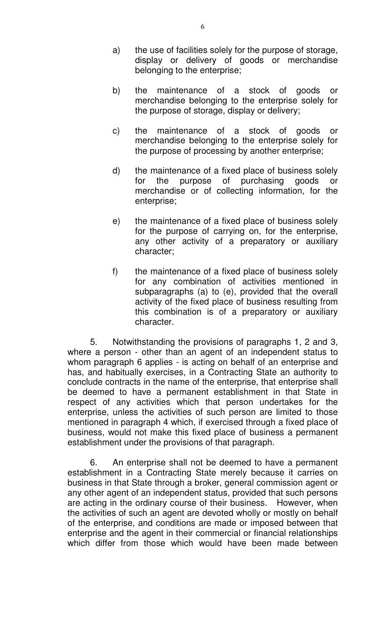- a) the use of facilities solely for the purpose of storage, display or delivery of goods or merchandise belonging to the enterprise;
- b) the maintenance of a stock of goods or merchandise belonging to the enterprise solely for the purpose of storage, display or delivery;
- c) the maintenance of a stock of goods or merchandise belonging to the enterprise solely for the purpose of processing by another enterprise;
- d) the maintenance of a fixed place of business solely for the purpose of purchasing goods or merchandise or of collecting information, for the enterprise;
- e) the maintenance of a fixed place of business solely for the purpose of carrying on, for the enterprise, any other activity of a preparatory or auxiliary character;
- f) the maintenance of a fixed place of business solely for any combination of activities mentioned in subparagraphs (a) to (e), provided that the overall activity of the fixed place of business resulting from this combination is of a preparatory or auxiliary character.

5. Notwithstanding the provisions of paragraphs 1, 2 and 3, where a person - other than an agent of an independent status to whom paragraph 6 applies - is acting on behalf of an enterprise and has, and habitually exercises, in a Contracting State an authority to conclude contracts in the name of the enterprise, that enterprise shall be deemed to have a permanent establishment in that State in respect of any activities which that person undertakes for the enterprise, unless the activities of such person are limited to those mentioned in paragraph 4 which, if exercised through a fixed place of business, would not make this fixed place of business a permanent establishment under the provisions of that paragraph.

6. An enterprise shall not be deemed to have a permanent establishment in a Contracting State merely because it carries on business in that State through a broker, general commission agent or any other agent of an independent status, provided that such persons are acting in the ordinary course of their business. However, when the activities of such an agent are devoted wholly or mostly on behalf of the enterprise, and conditions are made or imposed between that enterprise and the agent in their commercial or financial relationships which differ from those which would have been made between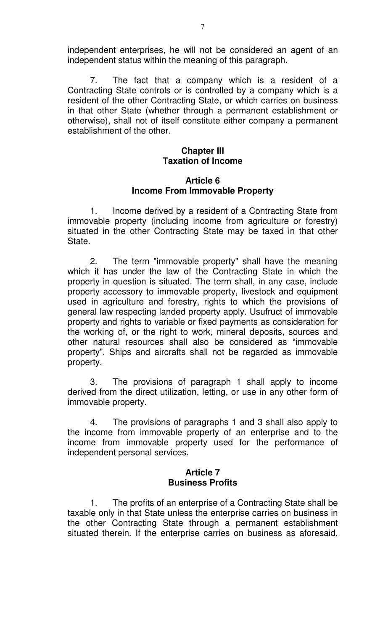independent enterprises, he will not be considered an agent of an independent status within the meaning of this paragraph.

7. The fact that a company which is a resident of a Contracting State controls or is controlled by a company which is a resident of the other Contracting State, or which carries on business in that other State (whether through a permanent establishment or otherwise), shall not of itself constitute either company a permanent establishment of the other.

#### **Chapter III Taxation of Income**

#### **Article 6 Income From Immovable Property**

1. Income derived by a resident of a Contracting State from immovable property (including income from agriculture or forestry) situated in the other Contracting State may be taxed in that other State.

2. The term "immovable property" shall have the meaning which it has under the law of the Contracting State in which the property in question is situated. The term shall, in any case, include property accessory to immovable property, livestock and equipment used in agriculture and forestry, rights to which the provisions of general law respecting landed property apply. Usufruct of immovable property and rights to variable or fixed payments as consideration for the working of, or the right to work, mineral deposits, sources and other natural resources shall also be considered as "immovable property". Ships and aircrafts shall not be regarded as immovable property.

3. The provisions of paragraph 1 shall apply to income derived from the direct utilization, letting, or use in any other form of immovable property.

4. The provisions of paragraphs 1 and 3 shall also apply to the income from immovable property of an enterprise and to the income from immovable property used for the performance of independent personal services.

### **Article 7 Business Profits**

1. The profits of an enterprise of a Contracting State shall be taxable only in that State unless the enterprise carries on business in the other Contracting State through a permanent establishment situated therein. If the enterprise carries on business as aforesaid,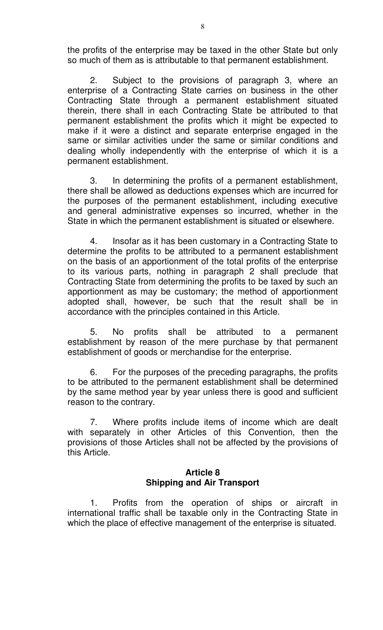the profits of the enterprise may be taxed in the other State but only so much of them as is attributable to that permanent establishment.

2. Subject to the provisions of paragraph 3, where an enterprise of a Contracting State carries on business in the other Contracting State through a permanent establishment situated therein, there shall in each Contracting State be attributed to that permanent establishment the profits which it might be expected to make if it were a distinct and separate enterprise engaged in the same or similar activities under the same or similar conditions and dealing wholly independently with the enterprise of which it is a permanent establishment.

3. In determining the profits of a permanent establishment, there shall be allowed as deductions expenses which are incurred for the purposes of the permanent establishment, including executive and general administrative expenses so incurred, whether in the State in which the permanent establishment is situated or elsewhere.

4. Insofar as it has been customary in a Contracting State to determine the profits to be attributed to a permanent establishment on the basis of an apportionment of the total profits of the enterprise to its various parts, nothing in paragraph 2 shall preclude that Contracting State from determining the profits to be taxed by such an apportionment as may be customary; the method of apportionment adopted shall, however, be such that the result shall be in accordance with the principles contained in this Article.

5. No profits shall be attributed to a permanent establishment by reason of the mere purchase by that permanent establishment of goods or merchandise for the enterprise.

6. For the purposes of the preceding paragraphs, the profits to be attributed to the permanent establishment shall be determined by the same method year by year unless there is good and sufficient reason to the contrary.

7. Where profits include items of income which are dealt with separately in other Articles of this Convention, then the provisions of those Articles shall not be affected by the provisions of this Article.

## **Article 8 Shipping and Air Transport**

1. Profits from the operation of ships or aircraft in international traffic shall be taxable only in the Contracting State in which the place of effective management of the enterprise is situated.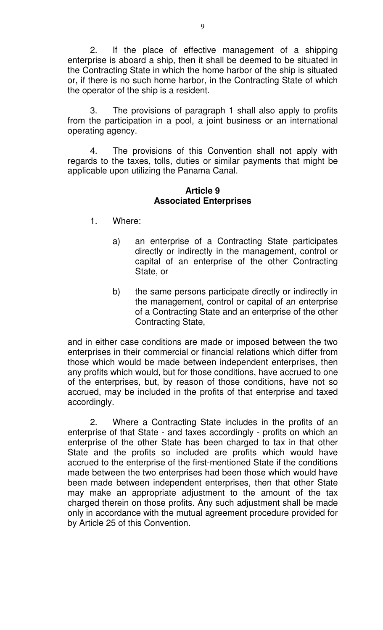2. If the place of effective management of a shipping enterprise is aboard a ship, then it shall be deemed to be situated in the Contracting State in which the home harbor of the ship is situated or, if there is no such home harbor, in the Contracting State of which the operator of the ship is a resident.

3. The provisions of paragraph 1 shall also apply to profits from the participation in a pool, a joint business or an international operating agency.

4. The provisions of this Convention shall not apply with regards to the taxes, tolls, duties or similar payments that might be applicable upon utilizing the Panama Canal.

### **Article 9 Associated Enterprises**

- 1. Where:
	- a) an enterprise of a Contracting State participates directly or indirectly in the management, control or capital of an enterprise of the other Contracting State, or
	- b) the same persons participate directly or indirectly in the management, control or capital of an enterprise of a Contracting State and an enterprise of the other Contracting State,

and in either case conditions are made or imposed between the two enterprises in their commercial or financial relations which differ from those which would be made between independent enterprises, then any profits which would, but for those conditions, have accrued to one of the enterprises, but, by reason of those conditions, have not so accrued, may be included in the profits of that enterprise and taxed accordingly.

2. Where a Contracting State includes in the profits of an enterprise of that State - and taxes accordingly - profits on which an enterprise of the other State has been charged to tax in that other State and the profits so included are profits which would have accrued to the enterprise of the first-mentioned State if the conditions made between the two enterprises had been those which would have been made between independent enterprises, then that other State may make an appropriate adjustment to the amount of the tax charged therein on those profits. Any such adjustment shall be made only in accordance with the mutual agreement procedure provided for by Article 25 of this Convention.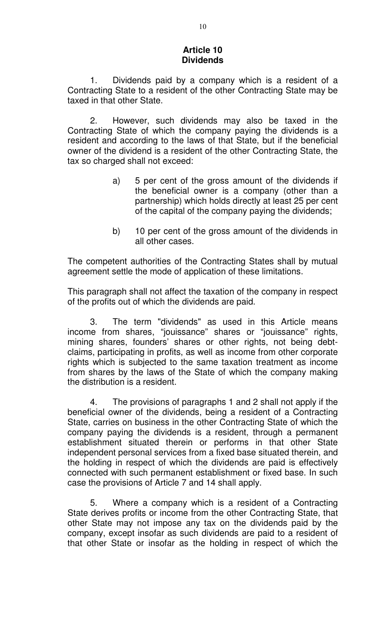#### **Article 10 Dividends**

1. Dividends paid by a company which is a resident of a Contracting State to a resident of the other Contracting State may be taxed in that other State.

2. However, such dividends may also be taxed in the Contracting State of which the company paying the dividends is a resident and according to the laws of that State, but if the beneficial owner of the dividend is a resident of the other Contracting State, the tax so charged shall not exceed:

- a) 5 per cent of the gross amount of the dividends if the beneficial owner is a company (other than a partnership) which holds directly at least 25 per cent of the capital of the company paying the dividends;
- b) 10 per cent of the gross amount of the dividends in all other cases.

The competent authorities of the Contracting States shall by mutual agreement settle the mode of application of these limitations.

This paragraph shall not affect the taxation of the company in respect of the profits out of which the dividends are paid.

3. The term "dividends" as used in this Article means income from shares, "jouissance" shares or "jouissance" rights, mining shares, founders' shares or other rights, not being debtclaims, participating in profits, as well as income from other corporate rights which is subjected to the same taxation treatment as income from shares by the laws of the State of which the company making the distribution is a resident.

4. The provisions of paragraphs 1 and 2 shall not apply if the beneficial owner of the dividends, being a resident of a Contracting State, carries on business in the other Contracting State of which the company paying the dividends is a resident, through a permanent establishment situated therein or performs in that other State independent personal services from a fixed base situated therein, and the holding in respect of which the dividends are paid is effectively connected with such permanent establishment or fixed base. In such case the provisions of Article 7 and 14 shall apply.

5. Where a company which is a resident of a Contracting State derives profits or income from the other Contracting State, that other State may not impose any tax on the dividends paid by the company, except insofar as such dividends are paid to a resident of that other State or insofar as the holding in respect of which the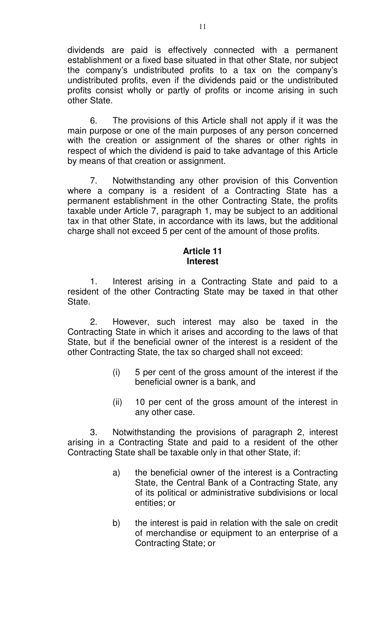dividends are paid is effectively connected with a permanent establishment or a fixed base situated in that other State, nor subject the company's undistributed profits to a tax on the company's undistributed profits, even if the dividends paid or the undistributed profits consist wholly or partly of profits or income arising in such other State.

6. The provisions of this Article shall not apply if it was the main purpose or one of the main purposes of any person concerned with the creation or assignment of the shares or other rights in respect of which the dividend is paid to take advantage of this Article by means of that creation or assignment.

7. Notwithstanding any other provision of this Convention where a company is a resident of a Contracting State has a permanent establishment in the other Contracting State, the profits taxable under Article 7, paragraph 1, may be subject to an additional tax in that other State, in accordance with its laws, but the additional charge shall not exceed 5 per cent of the amount of those profits.

#### **Article 11 Interest**

1. Interest arising in a Contracting State and paid to a resident of the other Contracting State may be taxed in that other State.

2. However, such interest may also be taxed in the Contracting State in which it arises and according to the laws of that State, but if the beneficial owner of the interest is a resident of the other Contracting State, the tax so charged shall not exceed:

- (i) 5 per cent of the gross amount of the interest if the beneficial owner is a bank, and
- (ii) 10 per cent of the gross amount of the interest in any other case.

3. Notwithstanding the provisions of paragraph 2, interest arising in a Contracting State and paid to a resident of the other Contracting State shall be taxable only in that other State, if:

- a) the beneficial owner of the interest is a Contracting State, the Central Bank of a Contracting State, any of its political or administrative subdivisions or local entities; or
- b) the interest is paid in relation with the sale on credit of merchandise or equipment to an enterprise of a Contracting State; or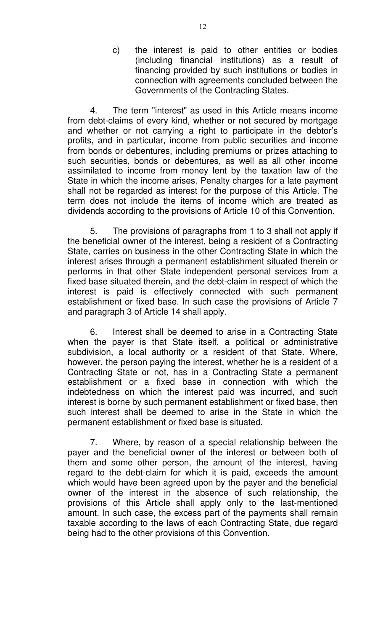c) the interest is paid to other entities or bodies (including financial institutions) as a result of financing provided by such institutions or bodies in connection with agreements concluded between the Governments of the Contracting States.

4. The term "interest" as used in this Article means income from debt-claims of every kind, whether or not secured by mortgage and whether or not carrying a right to participate in the debtor's profits, and in particular, income from public securities and income from bonds or debentures, including premiums or prizes attaching to such securities, bonds or debentures, as well as all other income assimilated to income from money lent by the taxation law of the State in which the income arises. Penalty charges for a late payment shall not be regarded as interest for the purpose of this Article. The term does not include the items of income which are treated as dividends according to the provisions of Article 10 of this Convention.

5. The provisions of paragraphs from 1 to 3 shall not apply if the beneficial owner of the interest, being a resident of a Contracting State, carries on business in the other Contracting State in which the interest arises through a permanent establishment situated therein or performs in that other State independent personal services from a fixed base situated therein, and the debt-claim in respect of which the interest is paid is effectively connected with such permanent establishment or fixed base. In such case the provisions of Article 7 and paragraph 3 of Article 14 shall apply.

6. Interest shall be deemed to arise in a Contracting State when the payer is that State itself, a political or administrative subdivision, a local authority or a resident of that State. Where, however, the person paying the interest, whether he is a resident of a Contracting State or not, has in a Contracting State a permanent establishment or a fixed base in connection with which the indebtedness on which the interest paid was incurred, and such interest is borne by such permanent establishment or fixed base, then such interest shall be deemed to arise in the State in which the permanent establishment or fixed base is situated.

7. Where, by reason of a special relationship between the payer and the beneficial owner of the interest or between both of them and some other person, the amount of the interest, having regard to the debt-claim for which it is paid, exceeds the amount which would have been agreed upon by the payer and the beneficial owner of the interest in the absence of such relationship, the provisions of this Article shall apply only to the last-mentioned amount. In such case, the excess part of the payments shall remain taxable according to the laws of each Contracting State, due regard being had to the other provisions of this Convention.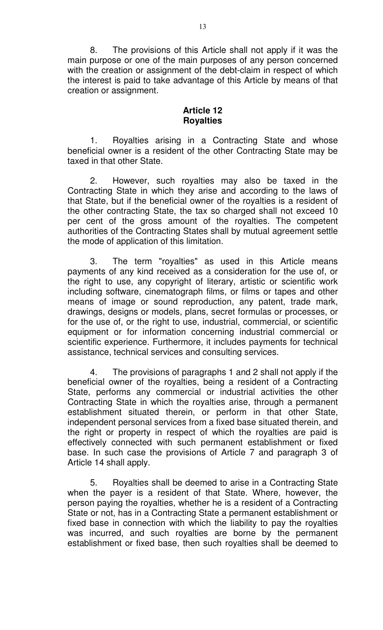8. The provisions of this Article shall not apply if it was the main purpose or one of the main purposes of any person concerned with the creation or assignment of the debt-claim in respect of which the interest is paid to take advantage of this Article by means of that creation or assignment.

### **Article 12 Royalties**

1. Royalties arising in a Contracting State and whose beneficial owner is a resident of the other Contracting State may be taxed in that other State.

2. However, such royalties may also be taxed in the Contracting State in which they arise and according to the laws of that State, but if the beneficial owner of the royalties is a resident of the other contracting State, the tax so charged shall not exceed 10 per cent of the gross amount of the royalties. The competent authorities of the Contracting States shall by mutual agreement settle the mode of application of this limitation.

3. The term "royalties" as used in this Article means payments of any kind received as a consideration for the use of, or the right to use, any copyright of literary, artistic or scientific work including software, cinematograph films, or films or tapes and other means of image or sound reproduction, any patent, trade mark, drawings, designs or models, plans, secret formulas or processes, or for the use of, or the right to use, industrial, commercial, or scientific equipment or for information concerning industrial commercial or scientific experience. Furthermore, it includes payments for technical assistance, technical services and consulting services.

4. The provisions of paragraphs 1 and 2 shall not apply if the beneficial owner of the royalties, being a resident of a Contracting State, performs any commercial or industrial activities the other Contracting State in which the royalties arise, through a permanent establishment situated therein, or perform in that other State, independent personal services from a fixed base situated therein, and the right or property in respect of which the royalties are paid is effectively connected with such permanent establishment or fixed base. In such case the provisions of Article 7 and paragraph 3 of Article 14 shall apply.

5. Royalties shall be deemed to arise in a Contracting State when the payer is a resident of that State. Where, however, the person paying the royalties, whether he is a resident of a Contracting State or not, has in a Contracting State a permanent establishment or fixed base in connection with which the liability to pay the royalties was incurred, and such royalties are borne by the permanent establishment or fixed base, then such royalties shall be deemed to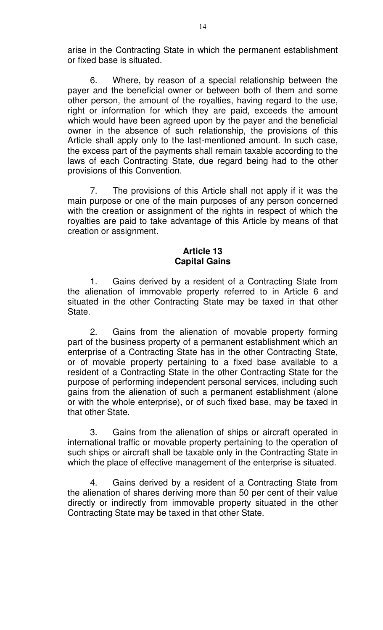arise in the Contracting State in which the permanent establishment or fixed base is situated.

6. Where, by reason of a special relationship between the payer and the beneficial owner or between both of them and some other person, the amount of the royalties, having regard to the use, right or information for which they are paid, exceeds the amount which would have been agreed upon by the payer and the beneficial owner in the absence of such relationship, the provisions of this Article shall apply only to the last-mentioned amount. In such case, the excess part of the payments shall remain taxable according to the laws of each Contracting State, due regard being had to the other provisions of this Convention.

7. The provisions of this Article shall not apply if it was the main purpose or one of the main purposes of any person concerned with the creation or assignment of the rights in respect of which the royalties are paid to take advantage of this Article by means of that creation or assignment.

#### **Article 13 Capital Gains**

1. Gains derived by a resident of a Contracting State from the alienation of immovable property referred to in Article 6 and situated in the other Contracting State may be taxed in that other State.

2. Gains from the alienation of movable property forming part of the business property of a permanent establishment which an enterprise of a Contracting State has in the other Contracting State, or of movable property pertaining to a fixed base available to a resident of a Contracting State in the other Contracting State for the purpose of performing independent personal services, including such gains from the alienation of such a permanent establishment (alone or with the whole enterprise), or of such fixed base, may be taxed in that other State.

3. Gains from the alienation of ships or aircraft operated in international traffic or movable property pertaining to the operation of such ships or aircraft shall be taxable only in the Contracting State in which the place of effective management of the enterprise is situated.

4. Gains derived by a resident of a Contracting State from the alienation of shares deriving more than 50 per cent of their value directly or indirectly from immovable property situated in the other Contracting State may be taxed in that other State.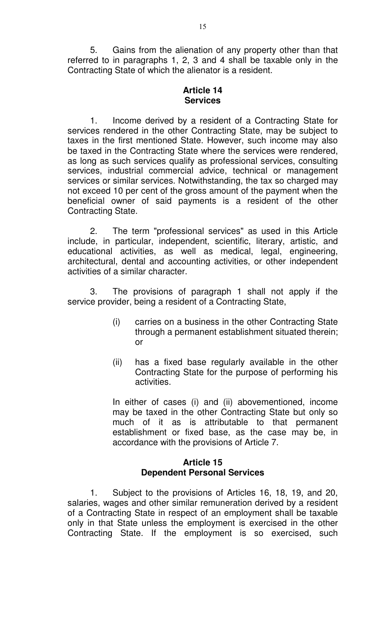5. Gains from the alienation of any property other than that referred to in paragraphs 1, 2, 3 and 4 shall be taxable only in the Contracting State of which the alienator is a resident.

#### **Article 14 Services**

1. Income derived by a resident of a Contracting State for services rendered in the other Contracting State, may be subject to taxes in the first mentioned State. However, such income may also be taxed in the Contracting State where the services were rendered, as long as such services qualify as professional services, consulting services, industrial commercial advice, technical or management services or similar services. Notwithstanding, the tax so charged may not exceed 10 per cent of the gross amount of the payment when the beneficial owner of said payments is a resident of the other Contracting State.

2. The term "professional services" as used in this Article include, in particular, independent, scientific, literary, artistic, and educational activities, as well as medical, legal, engineering, architectural, dental and accounting activities, or other independent activities of a similar character.

3. The provisions of paragraph 1 shall not apply if the service provider, being a resident of a Contracting State,

- (i) carries on a business in the other Contracting State through a permanent establishment situated therein; or
- (ii) has a fixed base regularly available in the other Contracting State for the purpose of performing his activities.

In either of cases (i) and (ii) abovementioned, income may be taxed in the other Contracting State but only so much of it as is attributable to that permanent establishment or fixed base, as the case may be, in accordance with the provisions of Article 7.

## **Article 15 Dependent Personal Services**

1. Subject to the provisions of Articles 16, 18, 19, and 20, salaries, wages and other similar remuneration derived by a resident of a Contracting State in respect of an employment shall be taxable only in that State unless the employment is exercised in the other Contracting State. If the employment is so exercised, such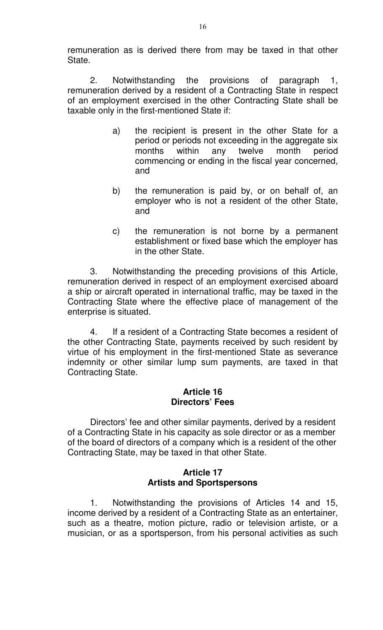remuneration as is derived there from may be taxed in that other State.

2. Notwithstanding the provisions of paragraph 1, remuneration derived by a resident of a Contracting State in respect of an employment exercised in the other Contracting State shall be taxable only in the first-mentioned State if:

- a) the recipient is present in the other State for a period or periods not exceeding in the aggregate six months within any twelve month period commencing or ending in the fiscal year concerned, and
- b) the remuneration is paid by, or on behalf of, an employer who is not a resident of the other State, and
- c) the remuneration is not borne by a permanent establishment or fixed base which the employer has in the other State.

3. Notwithstanding the preceding provisions of this Article, remuneration derived in respect of an employment exercised aboard a ship or aircraft operated in international traffic, may be taxed in the Contracting State where the effective place of management of the enterprise is situated.

4. If a resident of a Contracting State becomes a resident of the other Contracting State, payments received by such resident by virtue of his employment in the first-mentioned State as severance indemnity or other similar lump sum payments, are taxed in that Contracting State.

#### **Article 16 Directors' Fees**

Directors' fee and other similar payments, derived by a resident of a Contracting State in his capacity as sole director or as a member of the board of directors of a company which is a resident of the other Contracting State, may be taxed in that other State.

## **Article 17 Artists and Sportspersons**

1. Notwithstanding the provisions of Articles 14 and 15, income derived by a resident of a Contracting State as an entertainer, such as a theatre, motion picture, radio or television artiste, or a musician, or as a sportsperson, from his personal activities as such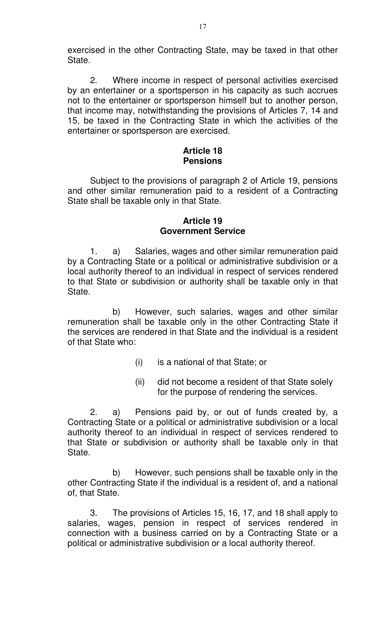exercised in the other Contracting State, may be taxed in that other State.

2. Where income in respect of personal activities exercised by an entertainer or a sportsperson in his capacity as such accrues not to the entertainer or sportsperson himself but to another person, that income may, notwithstanding the provisions of Articles 7, 14 and 15, be taxed in the Contracting State in which the activities of the entertainer or sportsperson are exercised.

#### **Article 18 Pensions**

Subject to the provisions of paragraph 2 of Article 19, pensions and other similar remuneration paid to a resident of a Contracting State shall be taxable only in that State.

## **Article 19 Government Service**

1. a) Salaries, wages and other similar remuneration paid by a Contracting State or a political or administrative subdivision or a local authority thereof to an individual in respect of services rendered to that State or subdivision or authority shall be taxable only in that State.

b) However, such salaries, wages and other similar remuneration shall be taxable only in the other Contracting State if the services are rendered in that State and the individual is a resident of that State who:

- (i) is a national of that State; or
- (ii) did not become a resident of that State solely for the purpose of rendering the services.

2. a) Pensions paid by, or out of funds created by, a Contracting State or a political or administrative subdivision or a local authority thereof to an individual in respect of services rendered to that State or subdivision or authority shall be taxable only in that State.

b) However, such pensions shall be taxable only in the other Contracting State if the individual is a resident of, and a national of, that State.

3. The provisions of Articles 15, 16, 17, and 18 shall apply to salaries, wages, pension in respect of services rendered in connection with a business carried on by a Contracting State or a political or administrative subdivision or a local authority thereof.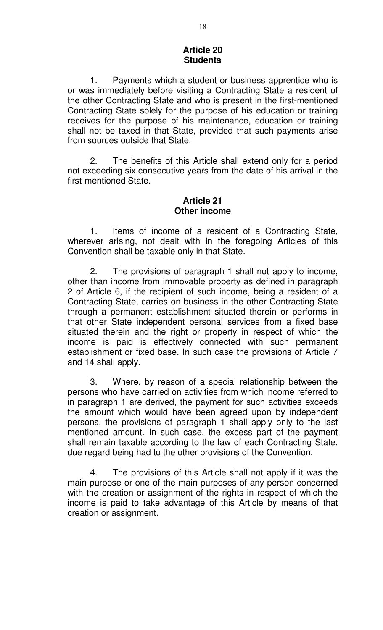#### **Article 20 Students**

1. Payments which a student or business apprentice who is or was immediately before visiting a Contracting State a resident of the other Contracting State and who is present in the first-mentioned Contracting State solely for the purpose of his education or training receives for the purpose of his maintenance, education or training shall not be taxed in that State, provided that such payments arise from sources outside that State.

2. The benefits of this Article shall extend only for a period not exceeding six consecutive years from the date of his arrival in the first-mentioned State.

### **Article 21 Other income**

1. Items of income of a resident of a Contracting State, wherever arising, not dealt with in the foregoing Articles of this Convention shall be taxable only in that State.

2. The provisions of paragraph 1 shall not apply to income, other than income from immovable property as defined in paragraph 2 of Article 6, if the recipient of such income, being a resident of a Contracting State, carries on business in the other Contracting State through a permanent establishment situated therein or performs in that other State independent personal services from a fixed base situated therein and the right or property in respect of which the income is paid is effectively connected with such permanent establishment or fixed base. In such case the provisions of Article 7 and 14 shall apply.

3. Where, by reason of a special relationship between the persons who have carried on activities from which income referred to in paragraph 1 are derived, the payment for such activities exceeds the amount which would have been agreed upon by independent persons, the provisions of paragraph 1 shall apply only to the last mentioned amount. In such case, the excess part of the payment shall remain taxable according to the law of each Contracting State, due regard being had to the other provisions of the Convention.

4. The provisions of this Article shall not apply if it was the main purpose or one of the main purposes of any person concerned with the creation or assignment of the rights in respect of which the income is paid to take advantage of this Article by means of that creation or assignment.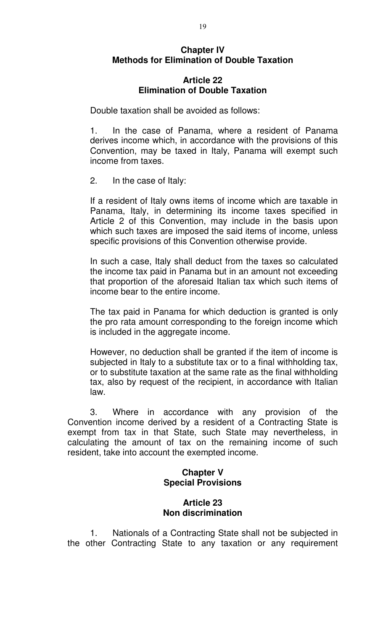## **Chapter IV Methods for Elimination of Double Taxation**

### **Article 22 Elimination of Double Taxation**

Double taxation shall be avoided as follows:

1. In the case of Panama, where a resident of Panama derives income which, in accordance with the provisions of this Convention, may be taxed in Italy, Panama will exempt such income from taxes.

2. In the case of Italy:

If a resident of Italy owns items of income which are taxable in Panama, Italy, in determining its income taxes specified in Article 2 of this Convention, may include in the basis upon which such taxes are imposed the said items of income, unless specific provisions of this Convention otherwise provide.

In such a case, Italy shall deduct from the taxes so calculated the income tax paid in Panama but in an amount not exceeding that proportion of the aforesaid Italian tax which such items of income bear to the entire income.

The tax paid in Panama for which deduction is granted is only the pro rata amount corresponding to the foreign income which is included in the aggregate income.

However, no deduction shall be granted if the item of income is subjected in Italy to a substitute tax or to a final withholding tax, or to substitute taxation at the same rate as the final withholding tax, also by request of the recipient, in accordance with Italian law.

3. Where in accordance with any provision of the Convention income derived by a resident of a Contracting State is exempt from tax in that State, such State may nevertheless, in calculating the amount of tax on the remaining income of such resident, take into account the exempted income.

## **Chapter V Special Provisions**

### **Article 23 Non discrimination**

1. Nationals of a Contracting State shall not be subjected in the other Contracting State to any taxation or any requirement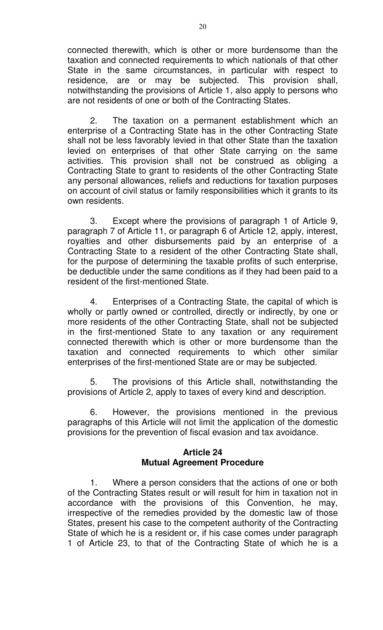connected therewith, which is other or more burdensome than the taxation and connected requirements to which nationals of that other State in the same circumstances, in particular with respect to residence, are or may be subjected. This provision shall, notwithstanding the provisions of Article 1, also apply to persons who are not residents of one or both of the Contracting States.

2. The taxation on a permanent establishment which an enterprise of a Contracting State has in the other Contracting State shall not be less favorably levied in that other State than the taxation levied on enterprises of that other State carrying on the same activities. This provision shall not be construed as obliging a Contracting State to grant to residents of the other Contracting State any personal allowances, reliefs and reductions for taxation purposes on account of civil status or family responsibilities which it grants to its own residents.

3. Except where the provisions of paragraph 1 of Article 9, paragraph 7 of Article 11, or paragraph 6 of Article 12, apply, interest, royalties and other disbursements paid by an enterprise of a Contracting State to a resident of the other Contracting State shall, for the purpose of determining the taxable profits of such enterprise, be deductible under the same conditions as if they had been paid to a resident of the first-mentioned State.

4. Enterprises of a Contracting State, the capital of which is wholly or partly owned or controlled, directly or indirectly, by one or more residents of the other Contracting State, shall not be subjected in the first-mentioned State to any taxation or any requirement connected therewith which is other or more burdensome than the taxation and connected requirements to which other similar enterprises of the first-mentioned State are or may be subjected.

5. The provisions of this Article shall, notwithstanding the provisions of Article 2, apply to taxes of every kind and description.

6. However, the provisions mentioned in the previous paragraphs of this Article will not limit the application of the domestic provisions for the prevention of fiscal evasion and tax avoidance.

## **Article 24 Mutual Agreement Procedure**

1. Where a person considers that the actions of one or both of the Contracting States result or will result for him in taxation not in accordance with the provisions of this Convention, he may, irrespective of the remedies provided by the domestic law of those States, present his case to the competent authority of the Contracting State of which he is a resident or, if his case comes under paragraph 1 of Article 23, to that of the Contracting State of which he is a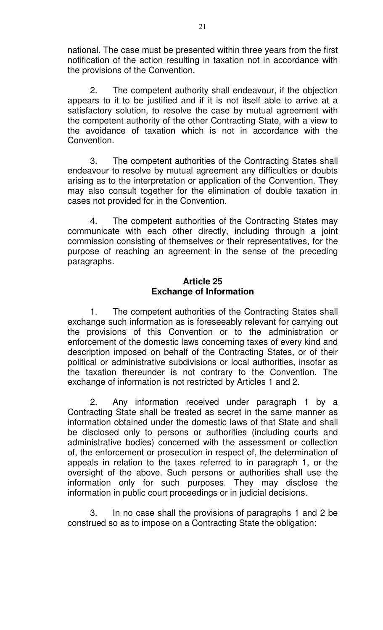national. The case must be presented within three years from the first notification of the action resulting in taxation not in accordance with the provisions of the Convention.

2. The competent authority shall endeavour, if the objection appears to it to be justified and if it is not itself able to arrive at a satisfactory solution, to resolve the case by mutual agreement with the competent authority of the other Contracting State, with a view to the avoidance of taxation which is not in accordance with the Convention.

3. The competent authorities of the Contracting States shall endeavour to resolve by mutual agreement any difficulties or doubts arising as to the interpretation or application of the Convention. They may also consult together for the elimination of double taxation in cases not provided for in the Convention.

4. The competent authorities of the Contracting States may communicate with each other directly, including through a joint commission consisting of themselves or their representatives, for the purpose of reaching an agreement in the sense of the preceding paragraphs.

### **Article 25 Exchange of Information**

1. The competent authorities of the Contracting States shall exchange such information as is foreseeably relevant for carrying out the provisions of this Convention or to the administration or enforcement of the domestic laws concerning taxes of every kind and description imposed on behalf of the Contracting States, or of their political or administrative subdivisions or local authorities, insofar as the taxation thereunder is not contrary to the Convention. The exchange of information is not restricted by Articles 1 and 2.

2. Any information received under paragraph 1 by a Contracting State shall be treated as secret in the same manner as information obtained under the domestic laws of that State and shall be disclosed only to persons or authorities (including courts and administrative bodies) concerned with the assessment or collection of, the enforcement or prosecution in respect of, the determination of appeals in relation to the taxes referred to in paragraph 1, or the oversight of the above. Such persons or authorities shall use the information only for such purposes. They may disclose the information in public court proceedings or in judicial decisions.

3. In no case shall the provisions of paragraphs 1 and 2 be construed so as to impose on a Contracting State the obligation: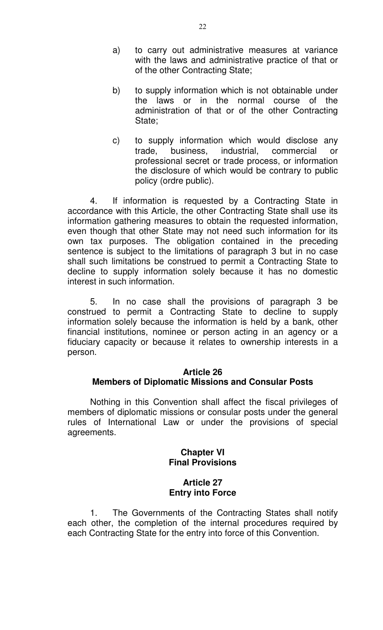- a) to carry out administrative measures at variance with the laws and administrative practice of that or of the other Contracting State;
- b) to supply information which is not obtainable under the laws or in the normal course of the administration of that or of the other Contracting State;
- c) to supply information which would disclose any trade, business, industrial, commercial or professional secret or trade process, or information the disclosure of which would be contrary to public policy (ordre public).

4. If information is requested by a Contracting State in accordance with this Article, the other Contracting State shall use its information gathering measures to obtain the requested information, even though that other State may not need such information for its own tax purposes. The obligation contained in the preceding sentence is subject to the limitations of paragraph 3 but in no case shall such limitations be construed to permit a Contracting State to decline to supply information solely because it has no domestic interest in such information.

5. In no case shall the provisions of paragraph 3 be construed to permit a Contracting State to decline to supply information solely because the information is held by a bank, other financial institutions, nominee or person acting in an agency or a fiduciary capacity or because it relates to ownership interests in a person.

## **Article 26**

# **Members of Diplomatic Missions and Consular Posts**

Nothing in this Convention shall affect the fiscal privileges of members of diplomatic missions or consular posts under the general rules of International Law or under the provisions of special agreements.

### **Chapter VI Final Provisions**

### **Article 27 Entry into Force**

1. The Governments of the Contracting States shall notify each other, the completion of the internal procedures required by each Contracting State for the entry into force of this Convention.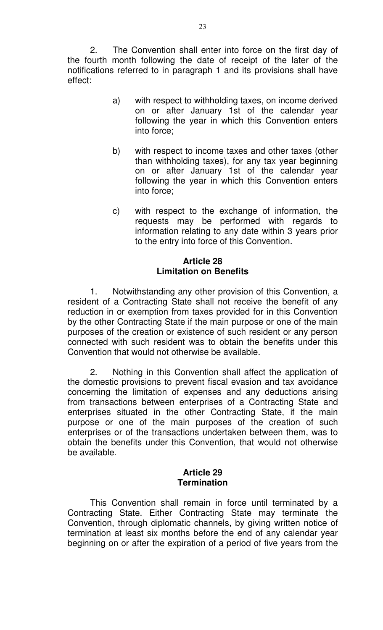2. The Convention shall enter into force on the first day of the fourth month following the date of receipt of the later of the notifications referred to in paragraph 1 and its provisions shall have effect:

- a) with respect to withholding taxes, on income derived on or after January 1st of the calendar year following the year in which this Convention enters into force;
- b) with respect to income taxes and other taxes (other than withholding taxes), for any tax year beginning on or after January 1st of the calendar year following the year in which this Convention enters into force;
- c) with respect to the exchange of information, the requests may be performed with regards to information relating to any date within 3 years prior to the entry into force of this Convention.

## **Article 28 Limitation on Benefits**

1. Notwithstanding any other provision of this Convention, a resident of a Contracting State shall not receive the benefit of any reduction in or exemption from taxes provided for in this Convention by the other Contracting State if the main purpose or one of the main purposes of the creation or existence of such resident or any person connected with such resident was to obtain the benefits under this Convention that would not otherwise be available.

2. Nothing in this Convention shall affect the application of the domestic provisions to prevent fiscal evasion and tax avoidance concerning the limitation of expenses and any deductions arising from transactions between enterprises of a Contracting State and enterprises situated in the other Contracting State, if the main purpose or one of the main purposes of the creation of such enterprises or of the transactions undertaken between them, was to obtain the benefits under this Convention, that would not otherwise be available.

## **Article 29 Termination**

This Convention shall remain in force until terminated by a Contracting State. Either Contracting State may terminate the Convention, through diplomatic channels, by giving written notice of termination at least six months before the end of any calendar year beginning on or after the expiration of a period of five years from the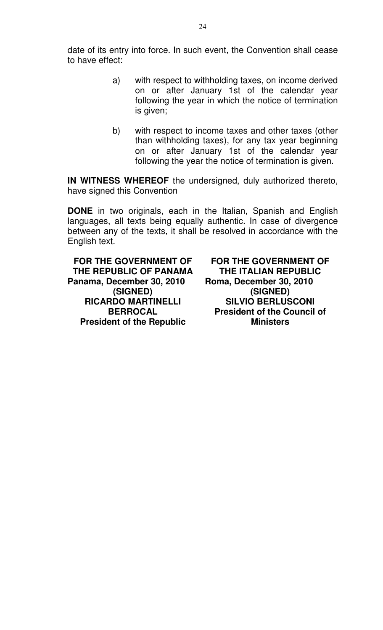date of its entry into force. In such event, the Convention shall cease to have effect:

- a) with respect to withholding taxes, on income derived on or after January 1st of the calendar year following the year in which the notice of termination is given;
- b) with respect to income taxes and other taxes (other than withholding taxes), for any tax year beginning on or after January 1st of the calendar year following the year the notice of termination is given.

**IN WITNESS WHEREOF** the undersigned, duly authorized thereto, have signed this Convention

**DONE** in two originals, each in the Italian, Spanish and English languages, all texts being equally authentic. In case of divergence between any of the texts, it shall be resolved in accordance with the English text.

**FOR THE GOVERNMENT OF THE REPUBLIC OF PANAMA Panama, December 30, 2010 (SIGNED) RICARDO MARTINELLI BERROCAL President of the Republic** 

**FOR THE GOVERNMENT OF THE ITALIAN REPUBLIC Roma, December 30, 2010 (SIGNED) SILVIO BERLUSCONI President of the Council of Ministers**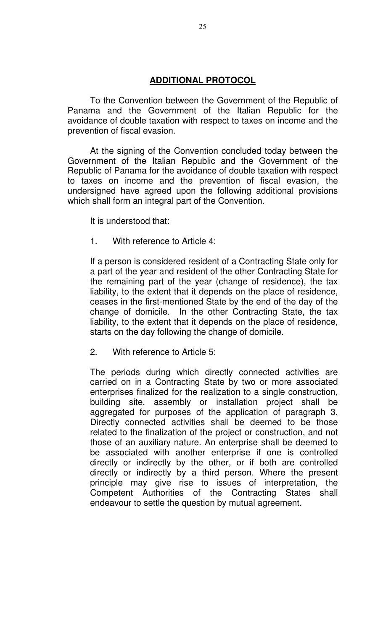## **ADDITIONAL PROTOCOL**

To the Convention between the Government of the Republic of Panama and the Government of the Italian Republic for the avoidance of double taxation with respect to taxes on income and the prevention of fiscal evasion.

At the signing of the Convention concluded today between the Government of the Italian Republic and the Government of the Republic of Panama for the avoidance of double taxation with respect to taxes on income and the prevention of fiscal evasion, the undersigned have agreed upon the following additional provisions which shall form an integral part of the Convention.

It is understood that:

1. With reference to Article 4:

If a person is considered resident of a Contracting State only for a part of the year and resident of the other Contracting State for the remaining part of the year (change of residence), the tax liability, to the extent that it depends on the place of residence, ceases in the first-mentioned State by the end of the day of the change of domicile. In the other Contracting State, the tax liability, to the extent that it depends on the place of residence, starts on the day following the change of domicile.

2. With reference to Article 5:

The periods during which directly connected activities are carried on in a Contracting State by two or more associated enterprises finalized for the realization to a single construction, building site, assembly or installation project shall be aggregated for purposes of the application of paragraph 3. Directly connected activities shall be deemed to be those related to the finalization of the project or construction, and not those of an auxiliary nature. An enterprise shall be deemed to be associated with another enterprise if one is controlled directly or indirectly by the other, or if both are controlled directly or indirectly by a third person. Where the present principle may give rise to issues of interpretation, the Competent Authorities of the Contracting States shall endeavour to settle the question by mutual agreement.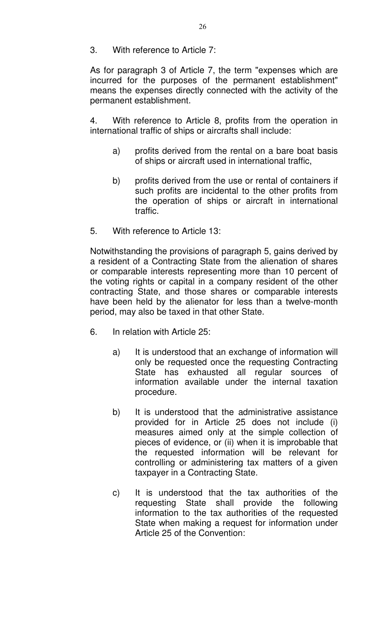3. With reference to Article 7:

As for paragraph 3 of Article 7, the term "expenses which are incurred for the purposes of the permanent establishment" means the expenses directly connected with the activity of the permanent establishment.

4. With reference to Article 8, profits from the operation in international traffic of ships or aircrafts shall include:

- a) profits derived from the rental on a bare boat basis of ships or aircraft used in international traffic,
- b) profits derived from the use or rental of containers if such profits are incidental to the other profits from the operation of ships or aircraft in international traffic.
- 5. With reference to Article 13:

Notwithstanding the provisions of paragraph 5, gains derived by a resident of a Contracting State from the alienation of shares or comparable interests representing more than 10 percent of the voting rights or capital in a company resident of the other contracting State, and those shares or comparable interests have been held by the alienator for less than a twelve-month period, may also be taxed in that other State.

- 6. In relation with Article 25:
	- a) It is understood that an exchange of information will only be requested once the requesting Contracting State has exhausted all regular sources of information available under the internal taxation procedure.
	- b) It is understood that the administrative assistance provided for in Article 25 does not include (i) measures aimed only at the simple collection of pieces of evidence, or (ii) when it is improbable that the requested information will be relevant for controlling or administering tax matters of a given taxpayer in a Contracting State.
	- c) It is understood that the tax authorities of the requesting State shall provide the following information to the tax authorities of the requested State when making a request for information under Article 25 of the Convention: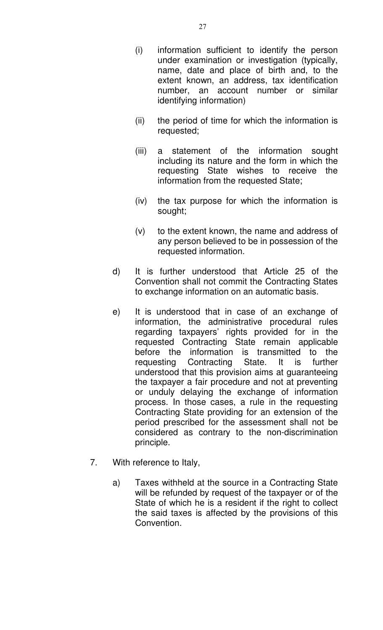- (i) information sufficient to identify the person under examination or investigation (typically, name, date and place of birth and, to the extent known, an address, tax identification number, an account number or similar identifying information)
- (ii) the period of time for which the information is requested;
- (iii) a statement of the information sought including its nature and the form in which the requesting State wishes to receive the information from the requested State;
- (iv) the tax purpose for which the information is sought;
- (v) to the extent known, the name and address of any person believed to be in possession of the requested information.
- d) It is further understood that Article 25 of the Convention shall not commit the Contracting States to exchange information on an automatic basis.
- e) It is understood that in case of an exchange of information, the administrative procedural rules regarding taxpayers' rights provided for in the requested Contracting State remain applicable before the information is transmitted to the requesting Contracting State. It is further understood that this provision aims at guaranteeing the taxpayer a fair procedure and not at preventing or unduly delaying the exchange of information process. In those cases, a rule in the requesting Contracting State providing for an extension of the period prescribed for the assessment shall not be considered as contrary to the non-discrimination principle.
- 7. With reference to Italy,
	- a) Taxes withheld at the source in a Contracting State will be refunded by request of the taxpayer or of the State of which he is a resident if the right to collect the said taxes is affected by the provisions of this Convention.